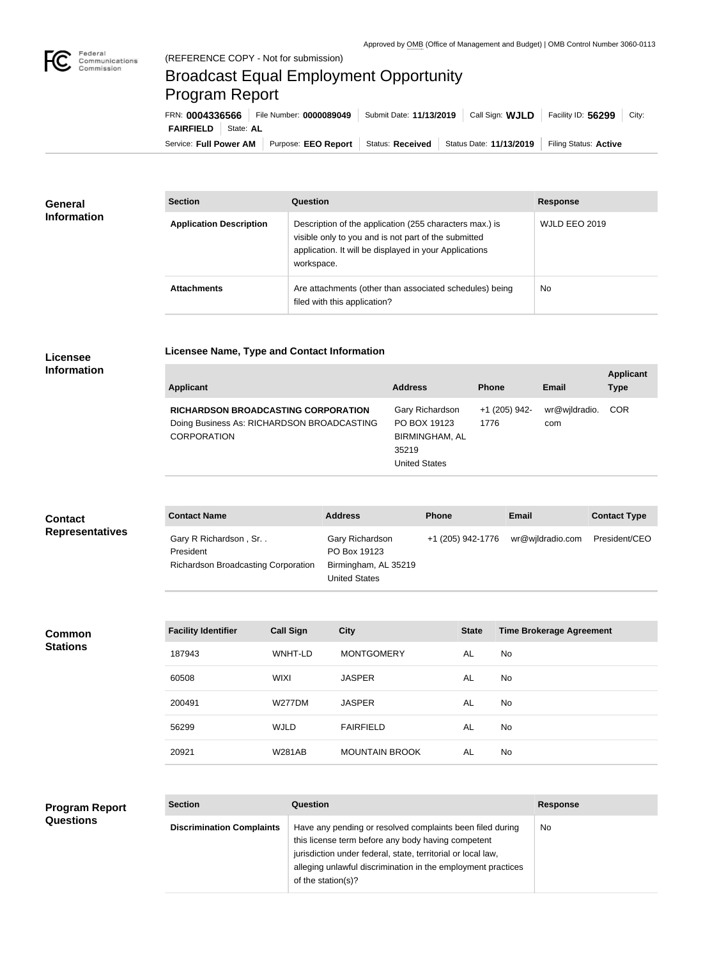

**COL** 

## Broadcast Equal Employment Opportunity Program Report

**Licensee Name, Type and Contact Information**

Service: Full Power AM | Purpose: EEO Report | Status: Received | Status Date: 11/13/2019 | Filing Status: Active **FAIRFIELD** | State: AL FRN: **0004336566** File Number: **0000089049** Submit Date: **11/13/2019** Call Sign: **WJLD** Facility ID: **56299** City:

| <b>General</b><br><b>Information</b> | <b>Section</b>                 | <b>Question</b>                                                                                                                                                                         | <b>Response</b> |
|--------------------------------------|--------------------------------|-----------------------------------------------------------------------------------------------------------------------------------------------------------------------------------------|-----------------|
|                                      | <b>Application Description</b> | Description of the application (255 characters max.) is<br>visible only to you and is not part of the submitted<br>application. It will be displayed in your Applications<br>workspace. | WJLD EEO 2019   |
|                                      | <b>Attachments</b>             | Are attachments (other than associated schedules) being<br>filed with this application?                                                                                                 | No.             |

## **Licensee Information**

| Applicant                                                                                                      | <b>Address</b>                                                                     | <b>Phone</b>          | Email                | <b>Applicant</b><br><b>Type</b> |
|----------------------------------------------------------------------------------------------------------------|------------------------------------------------------------------------------------|-----------------------|----------------------|---------------------------------|
| <b>RICHARDSON BROADCASTING CORPORATION</b><br>Doing Business As: RICHARDSON BROADCASTING<br><b>CORPORATION</b> | Gary Richardson<br>PO BOX 19123<br>BIRMINGHAM, AL<br>35219<br><b>United States</b> | +1 (205) 942-<br>1776 | wr@wjldradio.<br>com | <b>COR</b>                      |

| <b>Contact</b>         | <b>Contact Name</b>                                                              | <b>Address</b>                                                                  | <b>Phone</b>      | <b>Email</b>     | <b>Contact Type</b> |
|------------------------|----------------------------------------------------------------------------------|---------------------------------------------------------------------------------|-------------------|------------------|---------------------|
| <b>Representatives</b> | Gary R Richardson, Sr<br>President<br><b>Richardson Broadcasting Corporation</b> | Gary Richardson<br>PO Box 19123<br>Birmingham, AL 35219<br><b>United States</b> | +1 (205) 942-1776 | wr@wjldradio.com | President/CEO       |

**Common Stations**

| <b>Facility Identifier</b> | <b>Call Sign</b> | <b>City</b>           | <b>State</b> | <b>Time Brokerage Agreement</b> |
|----------------------------|------------------|-----------------------|--------------|---------------------------------|
| 187943                     | WNHT-LD          | <b>MONTGOMERY</b>     | AL           | No.                             |
| 60508                      | <b>WIXI</b>      | <b>JASPER</b>         | AL           | No.                             |
| 200491                     | <b>W277DM</b>    | <b>JASPER</b>         | AL           | No.                             |
| 56299                      | <b>WJLD</b>      | <b>FAIRFIELD</b>      | AL           | No.                             |
| 20921                      | <b>W281AB</b>    | <b>MOUNTAIN BROOK</b> | AL           | No.                             |

## **Program Report Questions**

| <b>Section</b>                   | Question                                                                                                                                                                                                                                                              | <b>Response</b> |
|----------------------------------|-----------------------------------------------------------------------------------------------------------------------------------------------------------------------------------------------------------------------------------------------------------------------|-----------------|
| <b>Discrimination Complaints</b> | Have any pending or resolved complaints been filed during<br>this license term before any body having competent<br>jurisdiction under federal, state, territorial or local law,<br>alleging unlawful discrimination in the employment practices<br>of the station(s)? | No              |